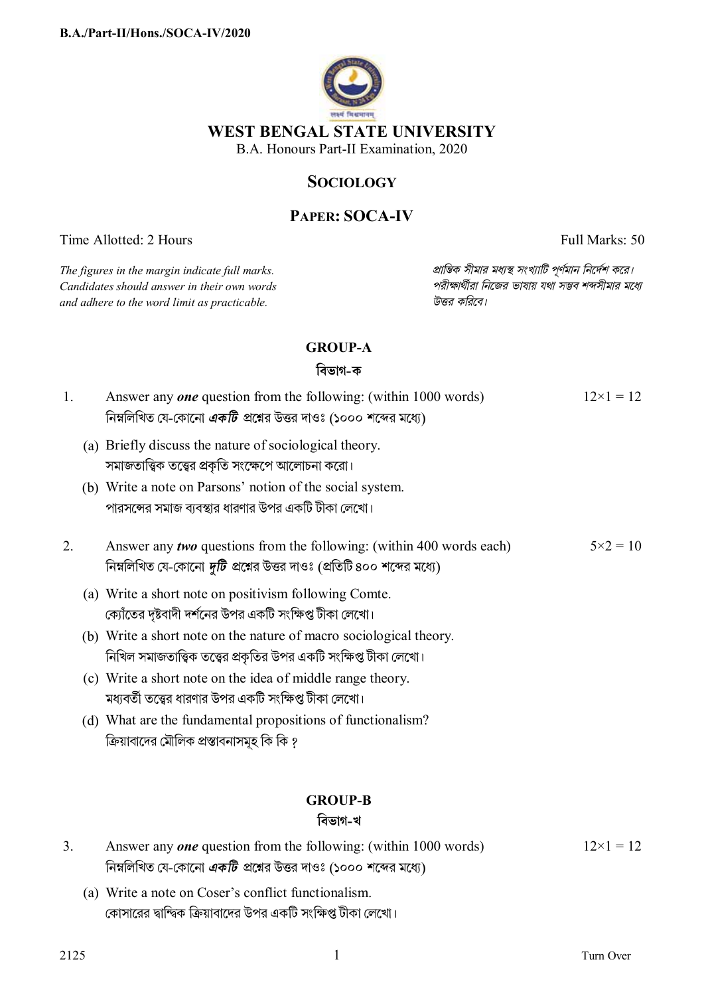

# **SOCIOLOGY**

# **PAPER: SOCA-IV**

Time Allotted: 2 Hours Full Marks: 50

 $C$ *andidates should answer in their own words and adhere to the word limit as practicable. উtর কিরেব।*

*The figures in the margin indicate full marks. pািnক সীমার মধ°s সংখ°ািট পূণমান িনেদশ কের।*

## **GROUP-A**

## **িবভাগ-ক**

| 1. | Answer any <i>one</i> question from the following: (within 1000 words)<br>নিম্নলিখিত যে-কোনো <i>একটি প্র</i> শ্নের উত্তর দাওঃ (১০০০ শব্দের মধ্যে)      | $12\times1=12$    |
|----|--------------------------------------------------------------------------------------------------------------------------------------------------------|-------------------|
|    | (a) Briefly discuss the nature of sociological theory.<br>সমাজতাত্ত্বিক তত্ত্বের প্রকৃতি সংক্ষেপে আলোচনা করো।                                          |                   |
|    | (b) Write a note on Parsons' notion of the social system.<br>পারসন্সের সমাজ ব্যবস্থার ধারণার উপর একটি টীকা লেখো।                                       |                   |
| 2. | Answer any two questions from the following: (within 400 words each)<br>নিম্নলিখিত যে-কোনো <i>দুটি প্র</i> শ্নের উত্তর দাওঃ (প্রতিটি ৪০০ শব্দের মধ্যে) | $5 \times 2 = 10$ |
|    | (a) Write a short note on positivism following Comte.<br>ক্যোঁতের দৃষ্টবাদী দর্শনের উপর একটি সংক্ষিপ্ত টীকা লেখো।                                      |                   |
|    | (b) Write a short note on the nature of macro sociological theory.<br>নিখিল সমাজতাত্ত্বিক তত্ত্বের প্রকৃতির উপর একটি সংক্ষিপ্ত টীকা লেখো।              |                   |
|    | (c) Write a short note on the idea of middle range theory.<br>মধ্যবর্তী তত্ত্বের ধারণার উপর একটি সংক্ষিপ্ত টীকা লেখো।                                  |                   |
|    | (d) What are the fundamental propositions of functionalism?<br>ক্রিয়াবাদের মৌলিক প্রস্তাবনাসমূহ কি কি ?                                               |                   |
|    | <b>GROUP-B</b><br>বিভাগ-খ                                                                                                                              |                   |
| 3. | Answer any <i>one</i> question from the following: (within 1000 words)<br>নিম্নলিখিত যে-কোনো <i>একটি</i> প্রশ্নের উত্তর দাওঃ (১০০০ শব্দের মধ্যে)       | $12\times1=12$    |

(a) Write a note on Coser's conflict functionalism. কোসারের দ্বান্দ্বিক ক্রিয়াবাদের উপর একটি সংক্ষিপ্ত টীকা লেখো।